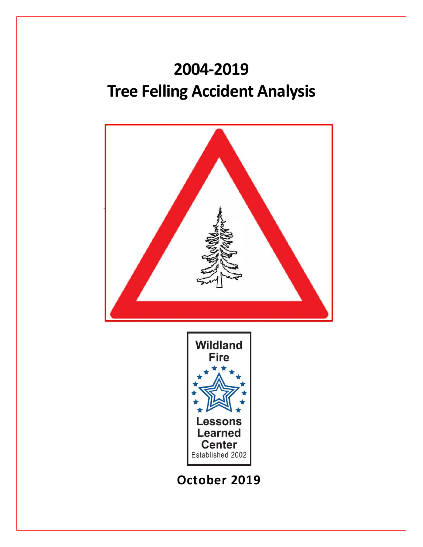# **2004-2019 Tree Felling Accident Analysis**

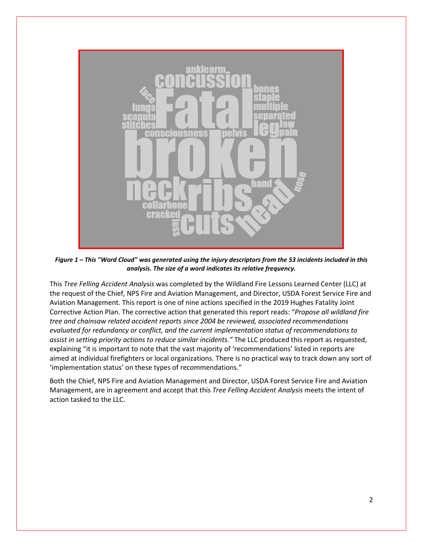

*Figure 1 – This "Word Cloud" was generated using the injury descriptors from the 53 incidents included in this analysis. The size of a word indicates its relative frequency.*

This *Tree Felling Accident Analysis* was completed by the Wildland Fire Lessons Learned Center (LLC) at the request of the Chief, NPS Fire and Aviation Management, and Director, USDA Forest Service Fire and Aviation Management. This report is one of nine actions specified in the 2019 Hughes Fatality Joint Corrective Action Plan. The corrective action that generated this report reads: "*Propose all wildland fire tree and chainsaw related accident reports since 2004 be reviewed, associated recommendations evaluated for redundancy or conflict, and the current implementation status of recommendations to assist in setting priority actions to reduce similar incidents."* The LLC produced this report as requested, explaining "it is important to note that the vast majority of 'recommendations' listed in reports are aimed at individual firefighters or local organizations. There is no practical way to track down any sort of 'implementation status' on these types of recommendations."

Both the Chief, NPS Fire and Aviation Management and Director, USDA Forest Service Fire and Aviation Management, are in agreement and accept that this *Tree Felling Accident Analysis* meets the intent of action tasked to the LLC.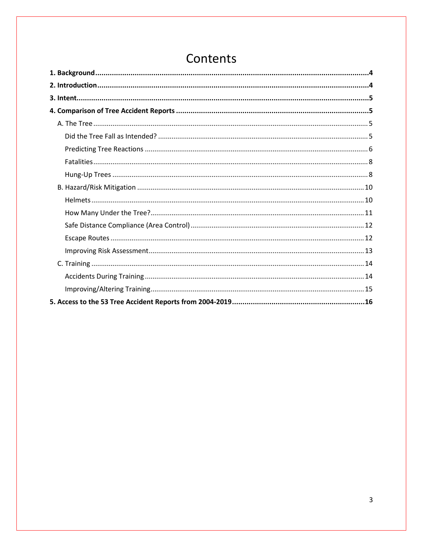## Contents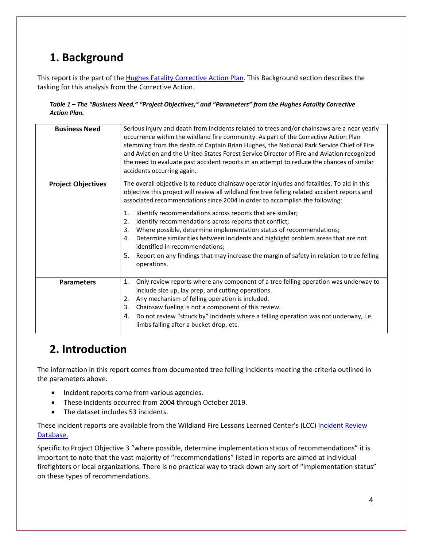## <span id="page-3-0"></span>**1. Background**

This report is the part of the [Hughes Fatality Corrective Action Plan.](https://www.nps.gov/orgs/1319/sai-and-cap-arrowhead-captain-brian-hughes.htm) This Background section describes the tasking for this analysis from the Corrective Action.

#### *Table 1 – The "Business Need," "Project Objectives," and "Parameters" from the Hughes Fatality Corrective Action Plan.*

| <b>Business Need</b>      | Serious injury and death from incidents related to trees and/or chainsaws are a near yearly<br>occurrence within the wildland fire community. As part of the Corrective Action Plan<br>stemming from the death of Captain Brian Hughes, the National Park Service Chief of Fire<br>and Aviation and the United States Forest Service Director of Fire and Aviation recognized<br>the need to evaluate past accident reports in an attempt to reduce the chances of similar<br>accidents occurring again.                                                                                                                                                                                                                                     |
|---------------------------|----------------------------------------------------------------------------------------------------------------------------------------------------------------------------------------------------------------------------------------------------------------------------------------------------------------------------------------------------------------------------------------------------------------------------------------------------------------------------------------------------------------------------------------------------------------------------------------------------------------------------------------------------------------------------------------------------------------------------------------------|
| <b>Project Objectives</b> | The overall objective is to reduce chainsaw operator injuries and fatalities. To aid in this<br>objective this project will review all wildland fire tree felling related accident reports and<br>associated recommendations since 2004 in order to accomplish the following:<br>Identify recommendations across reports that are similar;<br>1.<br>Identify recommendations across reports that conflict;<br>2.<br>Where possible, determine implementation status of recommendations;<br>3.<br>Determine similarities between incidents and highlight problem areas that are not<br>4.<br>identified in recommendations;<br>5.<br>Report on any findings that may increase the margin of safety in relation to tree felling<br>operations. |
| <b>Parameters</b>         | Only review reports where any component of a tree felling operation was underway to<br>1.<br>include size up, lay prep, and cutting operations.<br>Any mechanism of felling operation is included.<br>2.<br>Chainsaw fueling is not a component of this review.<br>3.<br>Do not review "struck by" incidents where a felling operation was not underway, i.e.<br>4.<br>limbs falling after a bucket drop, etc.                                                                                                                                                                                                                                                                                                                               |

## <span id="page-3-1"></span>**2. Introduction**

The information in this report comes from documented tree felling incidents meeting the criteria outlined in the parameters above.

- Incident reports come from various agencies.
- These incidents occurred from 2004 through October 2019.
- The dataset includes 53 incidents.

These incident reports are available from the Wildland Fire Lessons Learned Center's (LCC) [Incident Review](http://www.wildfirelessons.net/irdb) [Database.](http://www.wildfirelessons.net/irdb)

Specific to Project Objective 3 "where possible, determine implementation status of recommendations" it is important to note that the vast majority of "recommendations" listed in reports are aimed at individual firefighters or local organizations. There is no practical way to track down any sort of "implementation status" on these types of recommendations.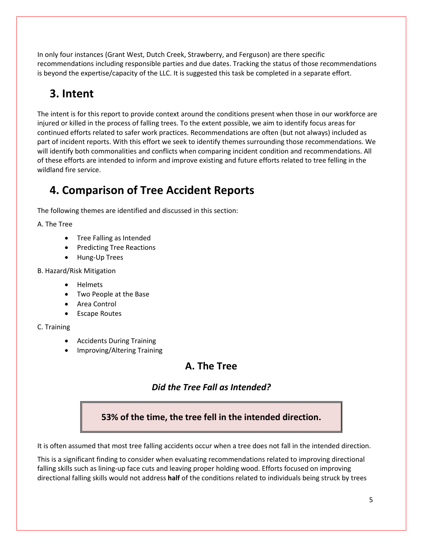In only four instances (Grant West, Dutch Creek, Strawberry, and Ferguson) are there specific recommendations including responsible parties and due dates. Tracking the status of those recommendations is beyond the expertise/capacity of the LLC. It is suggested this task be completed in a separate effort.

## <span id="page-4-0"></span>**3. Intent**

The intent is for this report to provide context around the conditions present when those in our workforce are injured or killed in the process of falling trees. To the extent possible, we aim to identify focus areas for continued efforts related to safer work practices. Recommendations are often (but not always) included as part of incident reports. With this effort we seek to identify themes surrounding those recommendations. We will identify both commonalities and conflicts when comparing incident condition and recommendations. All of these efforts are intended to inform and improve existing and future efforts related to tree felling in the wildland fire service.

## <span id="page-4-1"></span>**4. Comparison of Tree Accident Reports**

The following themes are identified and discussed in this section:

A. The Tree

- Tree Falling as Intended
- Predicting Tree Reactions
- Hung-Up Trees

B. Hazard/Risk Mitigation

- Helmets
- Two People at the Base
- Area Control
- Escape Routes

### C. Training

- Accidents During Training
- <span id="page-4-3"></span><span id="page-4-2"></span>• Improving/Altering Training

## **A. The Tree**

## *Did the Tree Fall as Intended?*

## **53% of the time, the tree fell in the intended direction.**

It is often assumed that most tree falling accidents occur when a tree does not fall in the intended direction.

This is a significant finding to consider when evaluating recommendations related to improving directional falling skills such as lining-up face cuts and leaving proper holding wood. Efforts focused on improving directional falling skills would not address **half** of the conditions related to individuals being struck by trees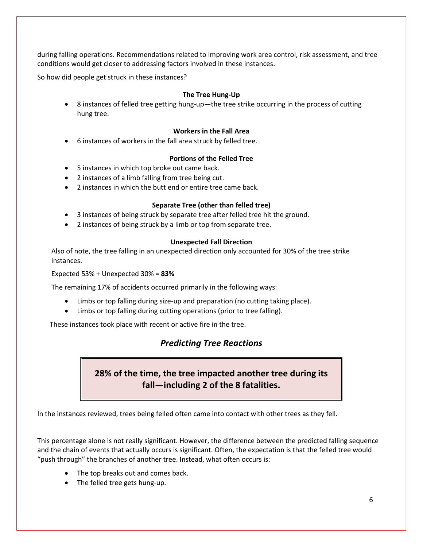during falling operations. Recommendations related to improving work area control, risk assessment, and tree conditions would get closer to addressing factors involved in these instances.

So how did people get struck in these instances?

#### **The Tree Hung-Up**

• 8 instances of felled tree getting hung-up—the tree strike occurring in the process of cutting hung tree.

#### **Workers in the Fall Area**

• 6 instances of workers in the fall area struck by felled tree.

#### **Portions of the Felled Tree**

- 5 instances in which top broke out came back.
- 2 instances of a limb falling from tree being cut.
- 2 instances in which the butt end or entire tree came back.

#### **Separate Tree (other than felled tree)**

- 3 instances of being struck by separate tree after felled tree hit the ground.
- 2 instances of being struck by a limb or top from separate tree.

#### **Unexpected Fall Direction**

Also of note, the tree falling in an unexpected direction only accounted for 30% of the tree strike instances.

Expected 53% + Unexpected 30% = **83%**

The remaining 17% of accidents occurred primarily in the following ways:

- Limbs or top falling during size-up and preparation (no cutting taking place).
- Limbs or top falling during cutting operations (prior to tree falling).

<span id="page-5-0"></span>These instances took place with recent or active fire in the tree.

## *Predicting Tree Reactions*

**28% of the time, the tree impacted another tree during its fall—including 2 of the 8 fatalities.**

In the instances reviewed, trees being felled often came into contact with other trees as they fell.

This percentage alone is not really significant. However, the difference between the predicted falling sequence and the chain of events that actually occurs is significant. Often, the expectation is that the felled tree would "push through" the branches of another tree. Instead, what often occurs is:

- The top breaks out and comes back.
- The felled tree gets hung-up.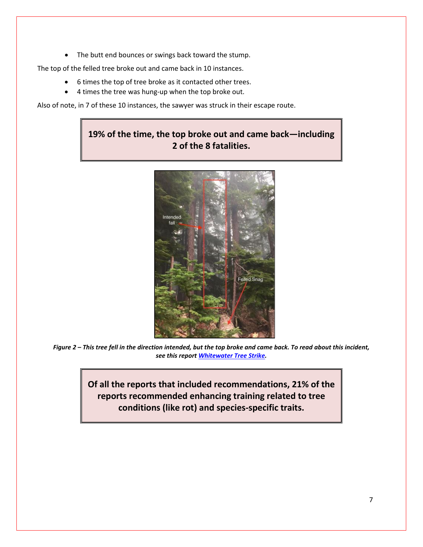• The butt end bounces or swings back toward the stump.

The top of the felled tree broke out and came back in 10 instances.

- 6 times the top of tree broke as it contacted other trees.
- 4 times the tree was hung-up when the top broke out.

Also of note, in 7 of these 10 instances, the sawyer was struck in their escape route.

## **19% of the time, the top broke out and came back—including 2 of the 8 fatalities.**



*Figure 2 – This tree fell in the direction intended, but the top broke and came back. To read about this incident, see this report [Whitewater Tree Strike.](https://www.wildfirelessons.net/viewdocument/whitewater-fire-faller-hit-by-tree)*

<span id="page-6-0"></span>**Of all the reports that included recommendations, 21% of the reports recommended enhancing training related to tree conditions (like rot) and species-specific traits.**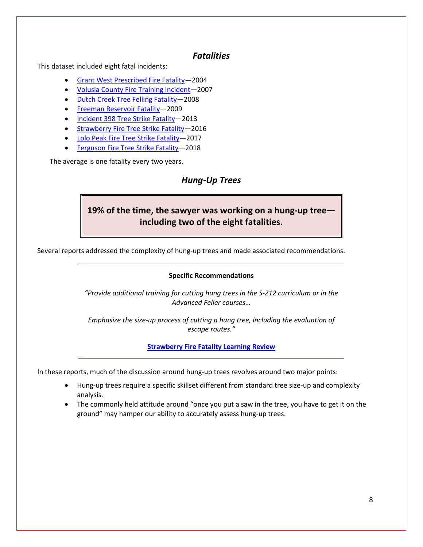### *Fatalities*

This dataset included eight fatal incidents:

- [Grant West Prescribed Fire Fatality—](https://www.wildfirelessons.net/viewdocument/grant-west-prescribed-fire-fatality)2004
- [Volusia County Fire Training Incident—](https://www.wildfirelessons.net/viewdocument/volusia-county-fire-training-incide)2007
- [Dutch Creek Tree Felling Fatality—](https://www.wildfirelessons.net/viewdocument/dutch-creek-tree-fel)2008
- [Freeman Reservoir Fatality—](https://www.wildfirelessons.net/viewdocument/freeman-reservoir-fatality-2009)2009
- [Incident 398 Tree Strike Fatality—](https://www.wildfirelessons.net/viewdocument/incident-398-2013)2013
- Strawberry Fire Tree Strike Fatality-2016
- [Lolo Peak Fire Tree Strike Fatality—](https://www.wildfirelessons.net/viewdocument/lolo-peak-fire-fatality-2017)2017
- Ferguson Fire Tree Strike Fatality-2018

<span id="page-7-0"></span>The average is one fatality every two years.

## *Hung-Up Trees*

## **19% of the time, the sawyer was working on a hung-up tree including two of the eight fatalities.**

Several reports addressed the complexity of hung-up trees and made associated recommendations.

#### **Specific Recommendations**

*"Provide additional training for cutting hung trees in the S-212 curriculum or in the Advanced Feller courses…* 

*Emphasize the size-up process of cutting a hung tree, including the evaluation of escape routes."*

**[Strawberry Fire Fatality Learning Review](https://www.wildfirelessons.net/viewdocument/strawberry-fire-tree)**

In these reports, much of the discussion around hung-up trees revolves around two major points:

- Hung-up trees require a specific skillset different from standard tree size-up and complexity analysis.
- The commonly held attitude around "once you put a saw in the tree, you have to get it on the ground" may hamper our ability to accurately assess hung-up trees.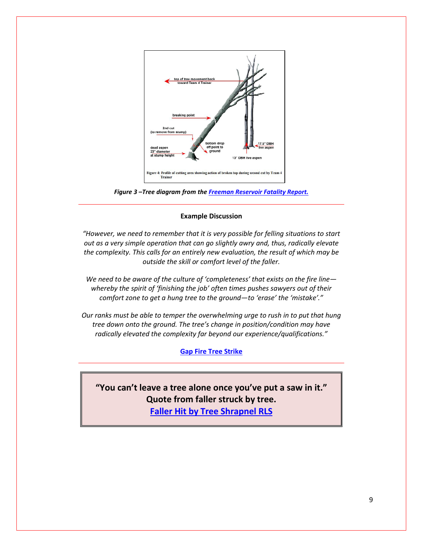

*Figure 3 –Tree diagram from the [Freeman Reservoir Fatality Report.](https://www.wildfirelessons.net/viewdocument/freeman-reservoir-fatality-2009)*

#### **Example Discussion**

*"However, we need to remember that it is very possible for felling situations to start out as a very simple operation that can go slightly awry and, thus, radically elevate the complexity. This calls for an entirely new evaluation, the result of which may be outside the skill or comfort level of the faller.*

*We need to be aware of the culture of 'completeness' that exists on the fire line whereby the spirit of 'finishing the job' often times pushes sawyers out of their comfort zone to get a hung tree to the ground—to 'erase' the 'mistake'."*

*Our ranks must be able to temper the overwhelming urge to rush in to put that hung tree down onto the ground. The tree's change in position/condition may have radically elevated the complexity far beyond our experience/qualifications."*

#### **[Gap Fire Tree Strike](https://www.wildfirelessons.net/viewdocument/gap-fire-tree-strike-2016)**

**"You can't leave a tree alone once you've put a saw in it." Quote from faller struck by tree. [Faller Hit by Tree Shrapnel RLS](https://www.wildfirelessons.net/viewdocument/faller-hit-by-tree-shrapnel-2014)**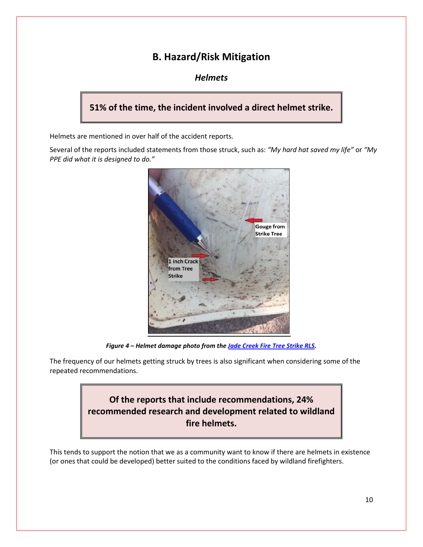## **B. Hazard/Risk Mitigation**

### *Helmets*

## <span id="page-9-1"></span><span id="page-9-0"></span>**51% of the time, the incident involved a direct helmet strike.**

Helmets are mentioned in over half of the accident reports.

Several of the reports included statements from those struck, such as: *"My hard hat saved my life"* or *"My PPE did what it is designed to do."*



*Figure 4 – Helmet damage photo from the [Jade Creek Fire Tree Strike RLS.](https://www.wildfirelessons.net/viewdocument/jade-creek-tree-strike-rls-2017)*

The frequency of our helmets getting struck by trees is also significant when considering some of the repeated recommendations.



This tends to support the notion that we as a community want to know if there are helmets in existence (or ones that could be developed) better suited to the conditions faced by wildland firefighters.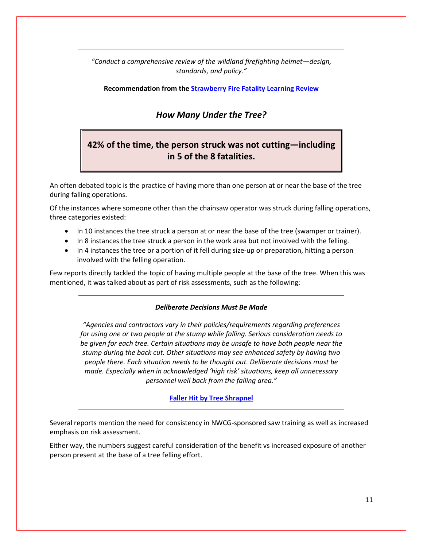*"Conduct a comprehensive review of the wildland firefighting helmet—design, standards, and policy."*

#### **Recommendation from th[e Strawberry Fire Fatality Learning Review](https://www.wildfirelessons.net/viewdocument/strawberry-fire-tree)**

### *How Many Under the Tree?*

## <span id="page-10-0"></span>**42% of the time, the person struck was not cutting—including in 5 of the 8 fatalities.**

An often debated topic is the practice of having more than one person at or near the base of the tree during falling operations.

Of the instances where someone other than the chainsaw operator was struck during falling operations, three categories existed:

- In 10 instances the tree struck a person at or near the base of the tree (swamper or trainer).
- In 8 instances the tree struck a person in the work area but not involved with the felling.
- In 4 instances the tree or a portion of it fell during size-up or preparation, hitting a person involved with the felling operation.

Few reports directly tackled the topic of having multiple people at the base of the tree. When this was mentioned, it was talked about as part of risk assessments, such as the following:

#### *Deliberate Decisions Must Be Made*

*"Agencies and contractors vary in their policies/requirements regarding preferences for using one or two people at the stump while falling. Serious consideration needs to be given for each tree. Certain situations may be unsafe to have both people near the stump during the back cut. Other situations may see enhanced safety by having two people there. Each situation needs to be thought out. Deliberate decisions must be made. Especially when in acknowledged 'high risk' situations, keep all unnecessary personnel well back from the falling area."*

#### **[Faller Hit by Tree Shrapnel](https://www.wildfirelessons.net/viewdocument/faller-hit-by-tree-shrapnel-2014)**

Several reports mention the need for consistency in NWCG-sponsored saw training as well as increased emphasis on risk assessment.

Either way, the numbers suggest careful consideration of the benefit vs increased exposure of another person present at the base of a tree felling effort.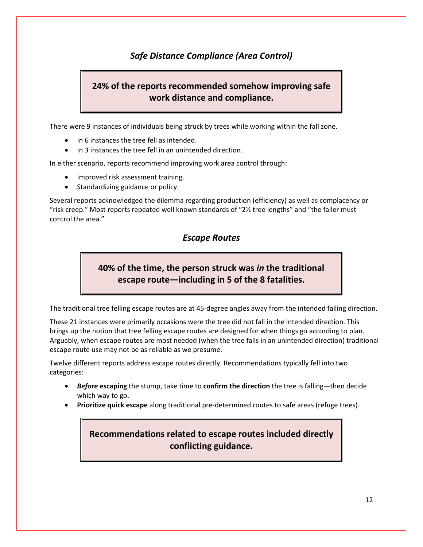## *Safe Distance Compliance (Area Control)*

## <span id="page-11-0"></span>**24% of the reports recommended somehow improving safe work distance and compliance.**

There were 9 instances of individuals being struck by trees while working within the fall zone.

- In 6 instances the tree fell as intended.
- In 3 instances the tree fell in an unintended direction.

In either scenario, reports recommend improving work area control through:

- Improved risk assessment training.
- Standardizing guidance or policy.

<span id="page-11-1"></span>Several reports acknowledged the dilemma regarding production (efficiency) as well as complacency or "risk creep." Most reports repeated well known standards of "2½ tree lengths" and "the faller must control the area."

## *Escape Routes*

## **40% of the time, the person struck was** *in* **the traditional escape route—including in 5 of the 8 fatalities.**

The traditional tree felling escape routes are at 45-degree angles away from the intended falling direction.

These 21 instances were primarily occasions were the tree did not fall in the intended direction. This brings up the notion that tree felling escape routes are designed for when things go according to plan. Arguably, when escape routes are most needed (when the tree falls in an unintended direction) traditional escape route use may not be as reliable as we presume.

Twelve different reports address escape routes directly. Recommendations typically fell into two categories:

- *Before* **escaping** the stump, take time to **confirm the direction** the tree is falling—then decide which way to go.
- **Prioritize quick escape** along traditional pre-determined routes to safe areas (refuge trees).

## **Recommendations related to escape routes included directly conflicting guidance.**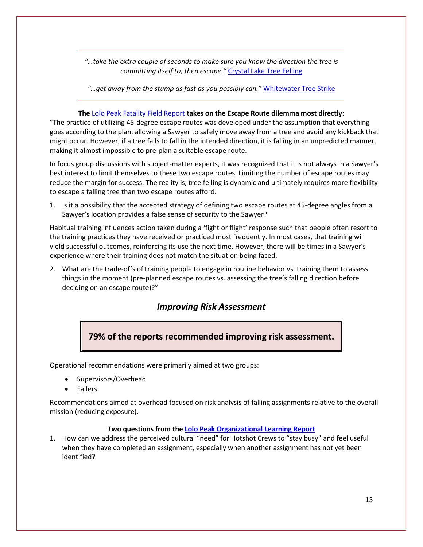*"…take the extra couple of seconds to make sure you know the direction the tree is committing itself to, then escape."* [Crystal Lake Tree Felling](https://www.wildfirelessons.net/viewdocument/crystal-lake-tree-felling-2011)

*"…get away from the stump as fast as you possibly can."* [Whitewater Tree Strike](https://www.wildfirelessons.net/viewdocument/whitewater-fire-faller-hit-by-tree)

#### **The** [Lolo Peak Fatality Field Report](https://www.wildfirelessons.net/viewdocument/lolo-peak-fire-fatality-2017) **takes on the Escape Route dilemma most directly:**

"The practice of utilizing 45-degree escape routes was developed under the assumption that everything goes according to the plan, allowing a Sawyer to safely move away from a tree and avoid any kickback that might occur. However, if a tree fails to fall in the intended direction, it is falling in an unpredicted manner, making it almost impossible to pre-plan a suitable escape route.

In focus group discussions with subject-matter experts, it was recognized that it is not always in a Sawyer's best interest to limit themselves to these two escape routes. Limiting the number of escape routes may reduce the margin for success. The reality is, tree felling is dynamic and ultimately requires more flexibility to escape a falling tree than two escape routes afford.

1. Is it a possibility that the accepted strategy of defining two escape routes at 45-degree angles from a Sawyer's location provides a false sense of security to the Sawyer?

Habitual training influences action taken during a 'fight or flight' response such that people often resort to the training practices they have received or practiced most frequently. In most cases, that training will yield successful outcomes, reinforcing its use the next time. However, there will be times in a Sawyer's experience where their training does not match the situation being faced.

<span id="page-12-0"></span>2. What are the trade-offs of training people to engage in routine behavior vs. training them to assess things in the moment (pre-planned escape routes vs. assessing the tree's falling direction before deciding on an escape route)?"

## *Improving Risk Assessment*

**79% of the reports recommended improving risk assessment.**

Operational recommendations were primarily aimed at two groups:

- Supervisors/Overhead
- Fallers

Recommendations aimed at overhead focused on risk analysis of falling assignments relative to the overall mission (reducing exposure).

#### **Two questions from the [Lolo Peak Organizational Learning Report](https://www.wildfirelessons.net/viewdocument/lolo-peak-fire-fatality-2017)**

1. How can we address the perceived cultural "need" for Hotshot Crews to "stay busy" and feel useful when they have completed an assignment, especially when another assignment has not yet been identified?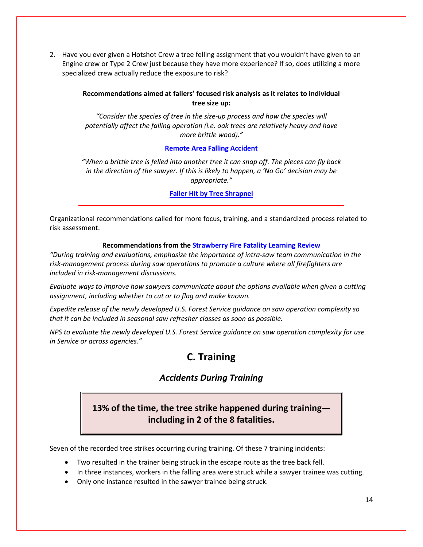2. Have you ever given a Hotshot Crew a tree felling assignment that you wouldn't have given to an Engine crew or Type 2 Crew just because they have more experience? If so, does utilizing a more specialized crew actually reduce the exposure to risk?

#### **Recommendations aimed at fallers' focused risk analysis as it relates to individual tree size up:**

*"Consider the species of tree in the size-up process and how the species will potentially affect the falling operation (i.e. oak trees are relatively heavy and have more brittle wood)."*

#### **[Remote Area Falling Accident](https://www.wildfirelessons.net/viewdocument/remote-area-falling-accident-2016)**

*"When a brittle tree is felled into another tree it can snap off. The pieces can fly back in the direction of the sawyer. If this is likely to happen, a 'No Go' decision may be appropriate."*

#### **[Faller Hit by Tree Shrapnel](https://www.wildfirelessons.net/viewdocument/faller-hit-by-tree-shrapnel-2014)**

Organizational recommendations called for more focus, training, and a standardized process related to risk assessment.

#### **Recommendations from the [Strawberry Fire Fatality Learning Review](https://www.wildfirelessons.net/viewdocument/strawberry-fire-tree)**

*"During training and evaluations, emphasize the importance of intra-saw team communication in the risk-management process during saw operations to promote a culture where all firefighters are included in risk-management discussions.* 

*Evaluate ways to improve how sawyers communicate about the options available when given a cutting assignment, including whether to cut or to flag and make known.* 

*Expedite release of the newly developed U.S. Forest Service guidance on saw operation complexity so that it can be included in seasonal saw refresher classes as soon as possible.* 

<span id="page-13-1"></span><span id="page-13-0"></span>*NPS to evaluate the newly developed U.S. Forest Service guidance on saw operation complexity for use in Service or across agencies."*

## **C. Training**

## *Accidents During Training*

## **13% of the time, the tree strike happened during training including in 2 of the 8 fatalities.**

Seven of the recorded tree strikes occurring during training. Of these 7 training incidents:

- Two resulted in the trainer being struck in the escape route as the tree back fell.
- In three instances, workers in the falling area were struck while a sawyer trainee was cutting.
- Only one instance resulted in the sawyer trainee being struck.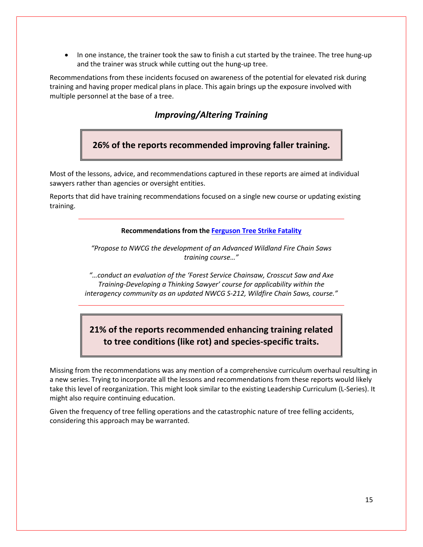• In one instance, the trainer took the saw to finish a cut started by the trainee. The tree hung-up and the trainer was struck while cutting out the hung-up tree.

<span id="page-14-0"></span>Recommendations from these incidents focused on awareness of the potential for elevated risk during training and having proper medical plans in place. This again brings up the exposure involved with multiple personnel at the base of a tree.

### *Improving/Altering Training*

**26% of the reports recommended improving faller training.**

Most of the lessons, advice, and recommendations captured in these reports are aimed at individual sawyers rather than agencies or oversight entities.

Reports that did have training recommendations focused on a single new course or updating existing training.

**Recommendations from the [Ferguson Tree Strike Fatality](https://www.wildfirelessons.net/viewdocument/ferguson-fire-hit-by-tree-fatality)**

*"Propose to NWCG the development of an Advanced Wildland Fire Chain Saws training course…"*

*"…conduct an evaluation of the 'Forest Service Chainsaw, Crosscut Saw and Axe Training-Developing a Thinking Sawyer' course for applicability within the interagency community as an updated NWCG S-212, Wildfire Chain Saws, course."*

## **21% of the reports recommended enhancing training related to tree conditions (like rot) and species-specific traits.**

Missing from the recommendations was any mention of a comprehensive curriculum overhaul resulting in a new series. Trying to incorporate all the lessons and recommendations from these reports would likely take this level of reorganization. This might look similar to the existing Leadership Curriculum (L-Series). It might also require continuing education.

Given the frequency of tree felling operations and the catastrophic nature of tree felling accidents, considering this approach may be warranted.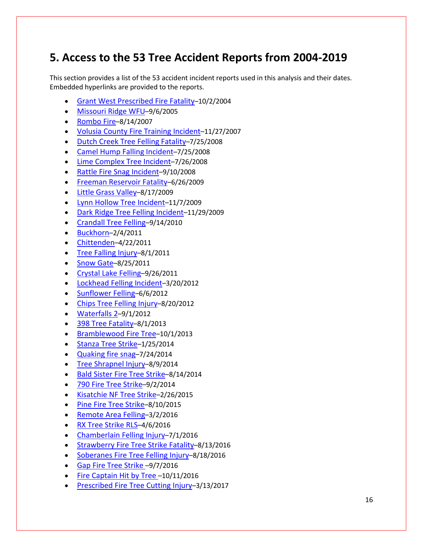## <span id="page-15-0"></span>**5. Access to the 53 Tree Accident Reports from 2004-2019**

This section provides a list of the 53 accident incident reports used in this analysis and their dates. Embedded hyperlinks are provided to the reports.

- Grant West Prescribed Fire Fatality–10/2/2004
- Missouri Ridge WFU–9/6/2005
- [Rombo Fire–](https://www.wildfirelessons.net/viewdocument/rombo-fire-2007)8/14/2007
- [Volusia County Fire Training Incident–](https://www.wildfirelessons.net/viewdocument/volusia-county-fire-training-incide)11/27/2007
- [Dutch Creek Tree Felling Fatality–](https://www.wildfirelessons.net/viewdocument/dutch-creek-tree-fel)7/25/2008
- Camel Hump Falling Incident–7/25/2008
- [Lime Complex Tree Incident–](https://www.wildfirelessons.net/viewdocument/lime-complex-tree-incident-2008)7/26/2008
- [Rattle Fire Snag Incident–](https://www.wildfirelessons.net/viewdocument/rattle-fire-snag-incident-2008)9/10/2008
- Freeman Reservoir Fatality–6/26/2009
- [Little Grass Valley–](https://www.wildfirelessons.net/viewdocument/little-grass-valley-2009)8/17/2009
- [Lynn Hollow Tree Incident–](https://www.wildfirelessons.net/viewdocument/lynn-hollow-tree-incident-2009)11/7/2009
- [Dark Ridge Tree Felling Incident–](https://www.wildfirelessons.net/viewdocument/dark-ridge-tree-felling-incident-2)11/29/2009
- [Crandall Tree Felling–](https://www.wildfirelessons.net/viewdocument/crandall-felling-accident-2010)9/14/2010
- [Buckhorn–](https://www.wildfirelessons.net/viewdocument/buckhorn-tree-fellin)2/4/2011
- [Chittenden–](https://www.wildfirelessons.net/viewdocument/chittenden-felling-i)4/22/2011
- [Tree Falling Injury–](https://www.wildfirelessons.net/viewdocument/tree-falling-injury-2011)8/1/2011
- Snow Gate–8/25/2011
- [Crystal Lake Felling–](https://www.wildfirelessons.net/viewdocument/crystal-lake-tree-felling-2011)9/26/2011
- [Lockhead Felling Incident–](https://www.wildfirelessons.net/viewdocument/lockheed-tree-felling-2012)3/20/2012
- [Sunflower Felling–](https://www.wildfirelessons.net/viewdocument/sunflower-felling-incident-2012)6/6/2012
- [Chips Tree Felling Injury–](https://www.wildfirelessons.net/viewdocument/chips-fire-felling-injury-2012)8/20/2012
- [Waterfalls 2–](https://safenet.nifc.gov/view_safenet.cfm?id=25692)9/1/2012
- 398 Tree Fatality-8/1/2013
- [Bramblewood Fire Tree–](https://www.wildfirelessons.net/viewdocument/marbleyard-snag-incidents-fla-2012)10/1/2013
- Stanza Tree Strike-1/25/2014
- [Quaking fire snag–](http://www.wildfirelessons.net/orphans/viewincident/?DocumentKey=387bd114-9c85-4ad9-b1bc-e12d3245b7f9)7/24/2014
- Tree Shrapnel Injury-8/9/2014
- [Bald Sister Fire Tree Strike–](http://www.wildfirelessons.net/orphans/viewincident/?DocumentKey=332c8610-1f70-414e-9456-e4153e476ce6)8/14/2014
- 790 Fire Tree Strike-9/2/2014
- [Kisatchie NF Tree Strike–](http://www.wildfirelessons.net/viewdocument/?DocumentKey=3879fd47-253d-4faa-9de1-27511e16e204)2/26/2015
- Pine Fire Tree Strike-8/10/2015
- Remote Area Felling–3/2/2016
- [RX Tree Strike RLS–](http://www.wildfirelessons.net/communities/community-home/librarydocuments/viewdocument/?DocumentKey=af808541-6fb3-499e-b1b2-21590af6f14b&tab=librarydocuments)4/6/2016
- [Chamberlain Felling Injury–](http://www.wildfirelessons.net/communities/community-home/librarydocuments/viewdocument/?DocumentKey=ba7aef64-968f-4dc9-a745-6d9947fbf340&tab=librarydocuments)7/1/2016
- [Strawberry Fire Tree Strike Fatality–](https://www.wildfirelessons.net/viewdocument/strawberry-fire-tree)8/13/2016
- Soberanes Fire Tree Felling Injury-8/18/2016
- [Gap Fire Tree Strike](https://www.wildfirelessons.net/viewdocument/gap-fire-tree-strike-2016) -9/7/2016
- Fire Captain Hit by Tree –10/11/2016
- [Prescribed Fire Tree Cutting Injury–](https://www.wildfirelessons.net/viewdocument/tree-cutting-injury-2017)3/13/2017